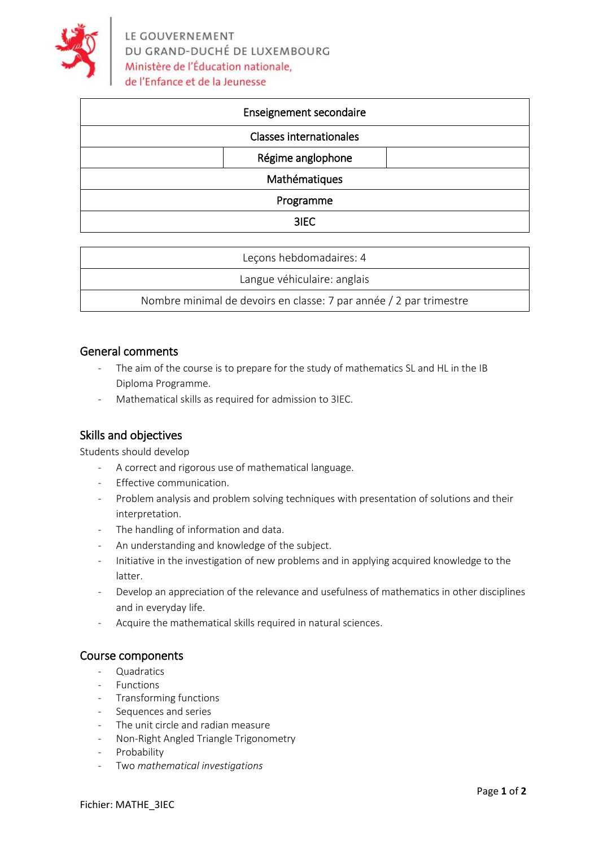

| Enseignement secondaire        |
|--------------------------------|
| <b>Classes internationales</b> |
| Régime anglophone              |
| Mathématiques                  |
| Programme                      |
| 3IEC                           |

| Lecons hebdomadaires: 4                                            |  |
|--------------------------------------------------------------------|--|
| Langue véhiculaire: anglais                                        |  |
| Nombre minimal de devoirs en classe: 7 par année / 2 par trimestre |  |

### General comments

- The aim of the course is to prepare for the study of mathematics SL and HL in the IB Diploma Programme.
- Mathematical skills as required for admission to 3IEC.

## Skills and objectives

Students should develop

- A correct and rigorous use of mathematical language.
- Effective communication.
- Problem analysis and problem solving techniques with presentation of solutions and their interpretation.
- The handling of information and data.
- An understanding and knowledge of the subject.
- Initiative in the investigation of new problems and in applying acquired knowledge to the latter.
- Develop an appreciation of the relevance and usefulness of mathematics in other disciplines and in everyday life.
- Acquire the mathematical skills required in natural sciences.

#### Course components

- **Quadratics**
- **Functions**
- Transforming functions
- Sequences and series
- The unit circle and radian measure
- Non‐Right Angled Triangle Trigonometry
- Probability
- Two *mathematical investigations*